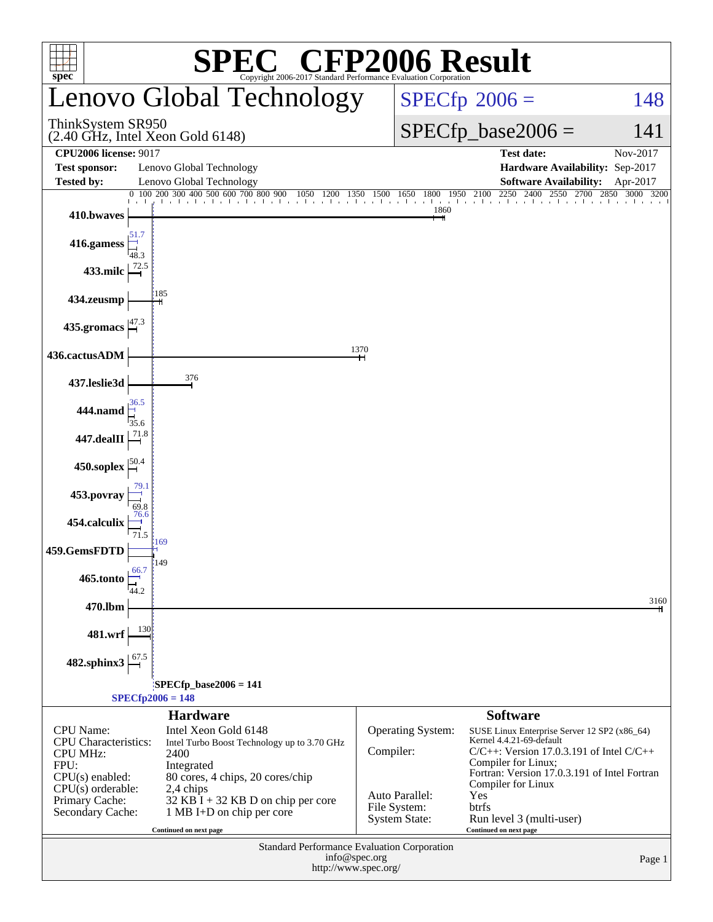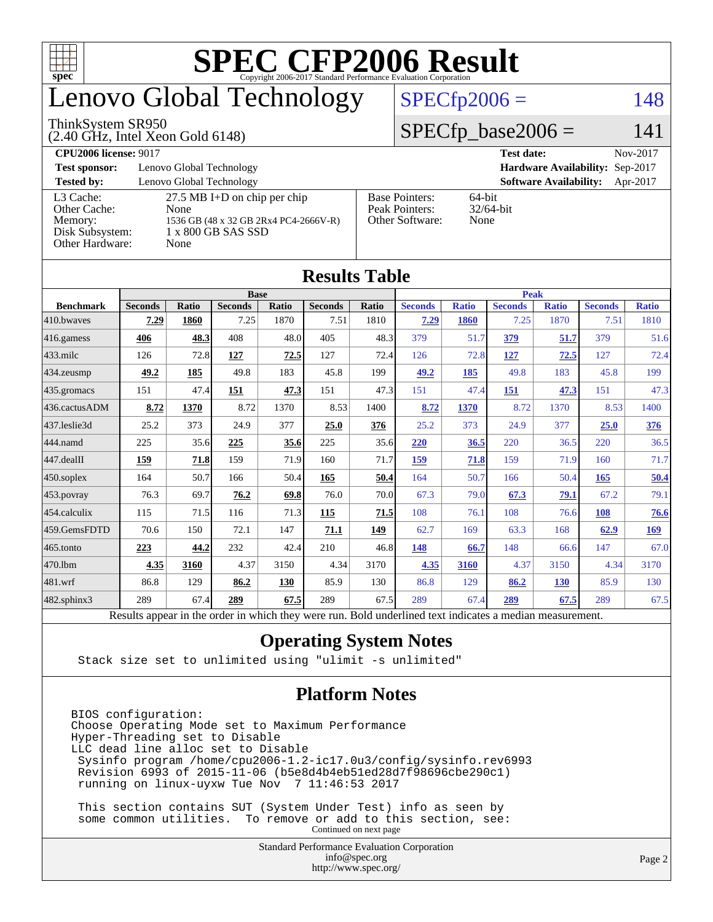

# enovo Global Technology

#### ThinkSystem SR950

(2.40 GHz, Intel Xeon Gold 6148)

#### $SPECTp2006 = 148$

#### $SPECfp\_base2006 = 141$

| <b>CPU2006 license: 9017</b> |                                       |                       | <b>Test date:</b><br>Nov-2017             |
|------------------------------|---------------------------------------|-----------------------|-------------------------------------------|
| <b>Test sponsor:</b>         | Lenovo Global Technology              |                       | Hardware Availability: Sep-2017           |
| <b>Tested by:</b>            | Lenovo Global Technology              |                       | <b>Software Availability:</b><br>Apr-2017 |
| L3 Cache:                    | $27.5$ MB I+D on chip per chip        | <b>Base Pointers:</b> | $64$ -bit                                 |
| Other Cache:                 | None                                  | Peak Pointers:        | $32/64$ -bit                              |
| Memory:                      | 1536 GB (48 x 32 GB 2Rx4 PC4-2666V-R) | Other Software:       | None                                      |
| Disk Subsystem:              | 1 x 800 GB SAS SSD                    |                       |                                           |
| Other Hardware:              | None                                  |                       |                                           |

|                        |                                                                                                          |              |                |       | Results Tadie  |       |                |              |                |              |                |              |
|------------------------|----------------------------------------------------------------------------------------------------------|--------------|----------------|-------|----------------|-------|----------------|--------------|----------------|--------------|----------------|--------------|
|                        | <b>Base</b>                                                                                              |              |                |       | <b>Peak</b>    |       |                |              |                |              |                |              |
| <b>Benchmark</b>       | <b>Seconds</b>                                                                                           | <b>Ratio</b> | <b>Seconds</b> | Ratio | <b>Seconds</b> | Ratio | <b>Seconds</b> | <b>Ratio</b> | <b>Seconds</b> | <b>Ratio</b> | <b>Seconds</b> | <b>Ratio</b> |
| 410.bwaves             | 7.29                                                                                                     | 1860         | 7.25           | 1870  | 7.51           | 1810  | 7.29           | 1860         | 7.25           | 1870         | 7.51           | 1810         |
| $416$ .gamess          | 406                                                                                                      | 48.3         | 408            | 48.0  | 405            | 48.3  | 379            | 51.7         | 379            | 51.7         | 379            | 51.6         |
| $433$ .milc            | 126                                                                                                      | 72.8         | 127            | 72.5  | 127            | 72.4  | 126            | 72.8         | <u>127</u>     | 72.5         | 127            | 72.4         |
| $434$ . zeusmp         | 49.2                                                                                                     | 185          | 49.8           | 183   | 45.8           | 199   | 49.2           | 185          | 49.8           | 183          | 45.8           | 199          |
| $435.$ gromacs         | 151                                                                                                      | 47.4         | 151            | 47.3  | 151            | 47.3  | 151            | 47.4         | 151            | 47.3         | 151            | 47.3         |
| 436.cactusADM          | 8.72                                                                                                     | 1370         | 8.72           | 1370  | 8.53           | 1400  | 8.72           | 1370         | 8.72           | 1370         | 8.53           | 1400         |
| 437.leslie3d           | 25.2                                                                                                     | 373          | 24.9           | 377   | 25.0           | 376   | 25.2           | 373          | 24.9           | 377          | 25.0           | 376          |
| 444.namd               | 225                                                                                                      | 35.6         | 225            | 35.6  | 225            | 35.6  | 220            | 36.5         | 220            | 36.5         | 220            | 36.5         |
| $ 447 \text{.}$ dealII | 159                                                                                                      | 71.8         | 159            | 71.9  | 160            | 71.7  | 159            | 71.8         | 159            | 71.9         | 160            | 71.7         |
| $450$ .soplex          | 164                                                                                                      | 50.7         | 166            | 50.4  | 165            | 50.4  | 164            | 50.7         | 166            | 50.4         | 165            | 50.4         |
| $453$ .povray          | 76.3                                                                                                     | 69.7         | 76.2           | 69.8  | 76.0           | 70.0  | 67.3           | 79.0         | 67.3           | 79.1         | 67.2           | 79.1         |
| $454$ .calculix        | 115                                                                                                      | 71.5         | 116            | 71.3  | 115            | 71.5  | 108            | 76.1         | 108            | 76.6         | 108            | 76.6         |
| 459.GemsFDTD           | 70.6                                                                                                     | 150          | 72.1           | 147   | 71.1           | 149   | 62.7           | 169          | 63.3           | 168          | 62.9           | 169          |
| $ 465$ .tonto          | 223                                                                                                      | 44.2         | 232            | 42.4  | 210            | 46.8  | 148            | 66.7         | 148            | 66.6         | 147            | 67.0         |
| 470.1bm                | 4.35                                                                                                     | 3160         | 4.37           | 3150  | 4.34           | 3170  | 4.35           | 3160         | 4.37           | 3150         | 4.34           | 3170         |
| $ 481$ .wrf            | 86.8                                                                                                     | 129          | 86.2           | 130   | 85.9           | 130   | 86.8           | 129          | 86.2           | <b>130</b>   | 85.9           | 130          |
| 482.sphinx3            | 289                                                                                                      | 67.4         | 289            | 67.5  | 289            | 67.5  | 289            | 67.4         | 289            | 67.5         | 289            | 67.5         |
|                        | Results appear in the order in which they were run. Bold underlined text indicates a median measurement. |              |                |       |                |       |                |              |                |              |                |              |

#### **[Results Table](http://www.spec.org/auto/cpu2006/Docs/result-fields.html#ResultsTable)**

#### **[Operating System Notes](http://www.spec.org/auto/cpu2006/Docs/result-fields.html#OperatingSystemNotes)**

Stack size set to unlimited using "ulimit -s unlimited"

#### **[Platform Notes](http://www.spec.org/auto/cpu2006/Docs/result-fields.html#PlatformNotes)**

BIOS configuration: Choose Operating Mode set to Maximum Performance Hyper-Threading set to Disable LLC dead line alloc set to Disable Sysinfo program /home/cpu2006-1.2-ic17.0u3/config/sysinfo.rev6993 Revision 6993 of 2015-11-06 (b5e8d4b4eb51ed28d7f98696cbe290c1) running on linux-uyxw Tue Nov 7 11:46:53 2017

 This section contains SUT (System Under Test) info as seen by some common utilities. To remove or add to this section, see: Continued on next page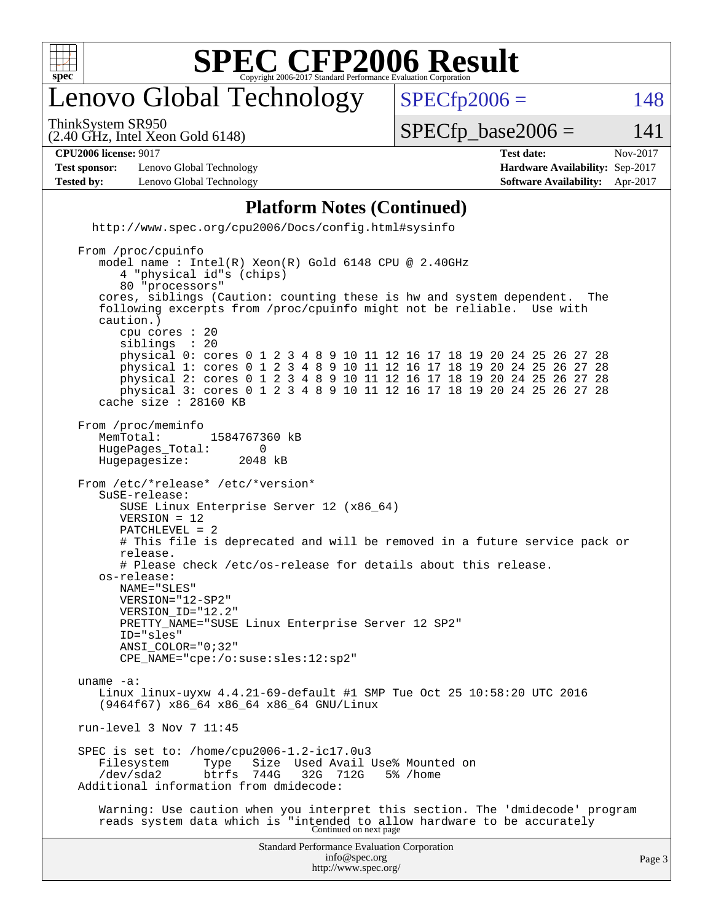

## enovo Global Technology

ThinkSystem SR950

 $SPECTp2006 = 148$ 

(2.40 GHz, Intel Xeon Gold 6148)

 $SPECTp\_base2006 = 141$ 

| <b>CPU2006</b><br>$901^{\circ}$<br>, license•<br>◡▴<br>. | date<br>. est<br>$-$ CSL $-$<br>. | .2017<br>Nov. |
|----------------------------------------------------------|-----------------------------------|---------------|

**[Test sponsor:](http://www.spec.org/auto/cpu2006/Docs/result-fields.html#Testsponsor)** Lenovo Global Technology **[Hardware Availability:](http://www.spec.org/auto/cpu2006/Docs/result-fields.html#HardwareAvailability)** Sep-2017 **[Tested by:](http://www.spec.org/auto/cpu2006/Docs/result-fields.html#Testedby)** Lenovo Global Technology **[Software Availability:](http://www.spec.org/auto/cpu2006/Docs/result-fields.html#SoftwareAvailability)** Apr-2017

#### **[Platform Notes \(Continued\)](http://www.spec.org/auto/cpu2006/Docs/result-fields.html#PlatformNotes)** <http://www.spec.org/cpu2006/Docs/config.html#sysinfo> From /proc/cpuinfo model name : Intel(R) Xeon(R) Gold 6148 CPU @ 2.40GHz 4 "physical id"s (chips) 80 "processors" cores, siblings (Caution: counting these is hw and system dependent. The following excerpts from /proc/cpuinfo might not be reliable. Use with caution.) cpu cores : 20 siblings physical 0: cores 0 1 2 3 4 8 9 10 11 12 16 17 18 19 20 24 25 26 27 28 physical 1: cores 0 1 2 3 4 8 9 10 11 12 16 17 18 19 20 24 25 26 27 28 physical 2: cores 0 1 2 3 4 8 9 10 11 12 16 17 18 19 20 24 25 26 27 28 physical 3: cores 0 1 2 3 4 8 9 10 11 12 16 17 18 19 20 24 25 26 27 28 cache size : 28160 KB From /proc/meminfo MemTotal: 1584767360 kB<br>HugePages Total: 0 HugePages\_Total: 0<br>Hugepagesize: 2048 kB Hugepagesize: From /etc/\*release\* /etc/\*version\* SuSE-release: SUSE Linux Enterprise Server 12 (x86\_64) VERSION = 12 PATCHLEVEL = 2 # This file is deprecated and will be removed in a future service pack or release. # Please check /etc/os-release for details about this release. os-release: NAME="SLES" VERSION="12-SP2" VERSION\_ID="12.2" PRETTY\_NAME="SUSE Linux Enterprise Server 12 SP2" ID="sles" ANSI\_COLOR="0;32" CPE\_NAME="cpe:/o:suse:sles:12:sp2" uname -a: Linux linux-uyxw 4.4.21-69-default #1 SMP Tue Oct 25 10:58:20 UTC 2016 (9464f67) x86\_64 x86\_64 x86\_64 GNU/Linux run-level 3 Nov 7 11:45 SPEC is set to: /home/cpu2006-1.2-ic17.0u3<br>Filesystem Type Size Used Avail Type Size Used Avail Use% Mounted on<br>btrfs 744G 32G 712G 5% /home /dev/sda2 btrfs 744G 32G 712G 5% /home Additional information from dmidecode: Warning: Use caution when you interpret this section. The 'dmidecode' program reads system data which is "intended to allow hardware to be accurately Continued on next page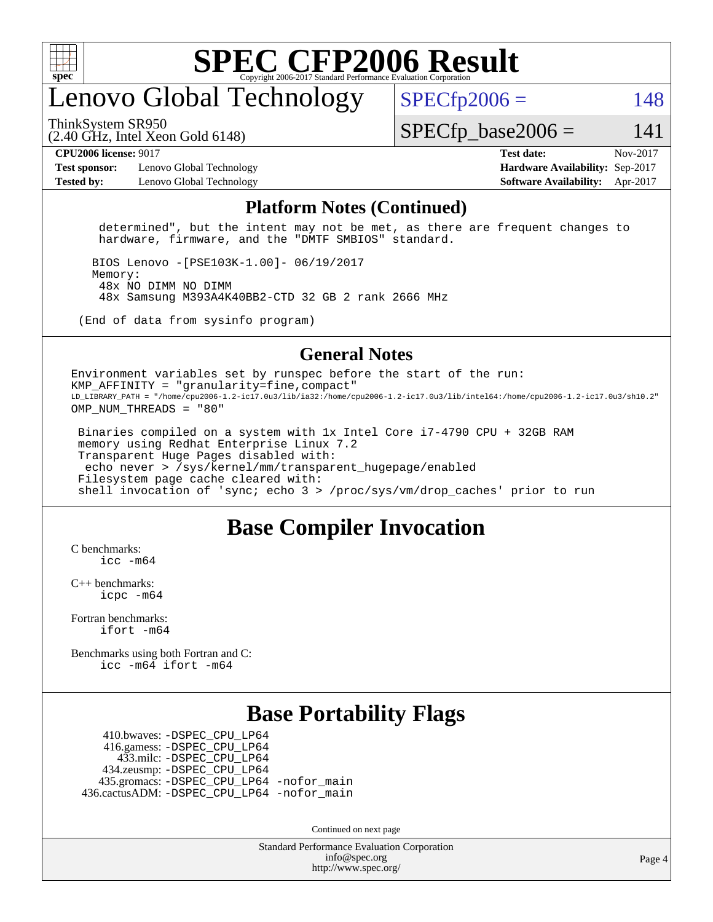

### enovo Global Technology

ThinkSystem SR950

 $SPECTp2006 = 148$ 

(2.40 GHz, Intel Xeon Gold 6148)

 $SPECTp\_base2006 = 141$ 

**[Test sponsor:](http://www.spec.org/auto/cpu2006/Docs/result-fields.html#Testsponsor)** Lenovo Global Technology **[Hardware Availability:](http://www.spec.org/auto/cpu2006/Docs/result-fields.html#HardwareAvailability)** Sep-2017 **[Tested by:](http://www.spec.org/auto/cpu2006/Docs/result-fields.html#Testedby)** Lenovo Global Technology **[Software Availability:](http://www.spec.org/auto/cpu2006/Docs/result-fields.html#SoftwareAvailability)** Apr-2017

**[CPU2006 license:](http://www.spec.org/auto/cpu2006/Docs/result-fields.html#CPU2006license)** 9017 **[Test date:](http://www.spec.org/auto/cpu2006/Docs/result-fields.html#Testdate)** Nov-2017

#### **[Platform Notes \(Continued\)](http://www.spec.org/auto/cpu2006/Docs/result-fields.html#PlatformNotes)**

 determined", but the intent may not be met, as there are frequent changes to hardware, firmware, and the "DMTF SMBIOS" standard.

 BIOS Lenovo -[PSE103K-1.00]- 06/19/2017 Memory: 48x NO DIMM NO DIMM 48x Samsung M393A4K40BB2-CTD 32 GB 2 rank 2666 MHz

(End of data from sysinfo program)

#### **[General Notes](http://www.spec.org/auto/cpu2006/Docs/result-fields.html#GeneralNotes)**

Environment variables set by runspec before the start of the run: KMP AFFINITY = "granularity=fine, compact" LD\_LIBRARY\_PATH = "/home/cpu2006-1.2-ic17.0u3/lib/ia32:/home/cpu2006-1.2-ic17.0u3/lib/intel64:/home/cpu2006-1.2-ic17.0u3/sh10.2" OMP NUM THREADS = "80"

 Binaries compiled on a system with 1x Intel Core i7-4790 CPU + 32GB RAM memory using Redhat Enterprise Linux 7.2 Transparent Huge Pages disabled with: echo never > /sys/kernel/mm/transparent\_hugepage/enabled Filesystem page cache cleared with: shell invocation of 'sync; echo 3 > /proc/sys/vm/drop\_caches' prior to run

#### **[Base Compiler Invocation](http://www.spec.org/auto/cpu2006/Docs/result-fields.html#BaseCompilerInvocation)**

[C benchmarks](http://www.spec.org/auto/cpu2006/Docs/result-fields.html#Cbenchmarks):  $inc - m64$ 

[C++ benchmarks:](http://www.spec.org/auto/cpu2006/Docs/result-fields.html#CXXbenchmarks) [icpc -m64](http://www.spec.org/cpu2006/results/res2017q4/cpu2006-20171114-50723.flags.html#user_CXXbase_intel_icpc_64bit_fc66a5337ce925472a5c54ad6a0de310)

[Fortran benchmarks](http://www.spec.org/auto/cpu2006/Docs/result-fields.html#Fortranbenchmarks): [ifort -m64](http://www.spec.org/cpu2006/results/res2017q4/cpu2006-20171114-50723.flags.html#user_FCbase_intel_ifort_64bit_ee9d0fb25645d0210d97eb0527dcc06e)

[Benchmarks using both Fortran and C](http://www.spec.org/auto/cpu2006/Docs/result-fields.html#BenchmarksusingbothFortranandC): [icc -m64](http://www.spec.org/cpu2006/results/res2017q4/cpu2006-20171114-50723.flags.html#user_CC_FCbase_intel_icc_64bit_bda6cc9af1fdbb0edc3795bac97ada53) [ifort -m64](http://www.spec.org/cpu2006/results/res2017q4/cpu2006-20171114-50723.flags.html#user_CC_FCbase_intel_ifort_64bit_ee9d0fb25645d0210d97eb0527dcc06e)

### **[Base Portability Flags](http://www.spec.org/auto/cpu2006/Docs/result-fields.html#BasePortabilityFlags)**

 410.bwaves: [-DSPEC\\_CPU\\_LP64](http://www.spec.org/cpu2006/results/res2017q4/cpu2006-20171114-50723.flags.html#suite_basePORTABILITY410_bwaves_DSPEC_CPU_LP64) 416.gamess: [-DSPEC\\_CPU\\_LP64](http://www.spec.org/cpu2006/results/res2017q4/cpu2006-20171114-50723.flags.html#suite_basePORTABILITY416_gamess_DSPEC_CPU_LP64) 433.milc: [-DSPEC\\_CPU\\_LP64](http://www.spec.org/cpu2006/results/res2017q4/cpu2006-20171114-50723.flags.html#suite_basePORTABILITY433_milc_DSPEC_CPU_LP64) 434.zeusmp: [-DSPEC\\_CPU\\_LP64](http://www.spec.org/cpu2006/results/res2017q4/cpu2006-20171114-50723.flags.html#suite_basePORTABILITY434_zeusmp_DSPEC_CPU_LP64) 435.gromacs: [-DSPEC\\_CPU\\_LP64](http://www.spec.org/cpu2006/results/res2017q4/cpu2006-20171114-50723.flags.html#suite_basePORTABILITY435_gromacs_DSPEC_CPU_LP64) [-nofor\\_main](http://www.spec.org/cpu2006/results/res2017q4/cpu2006-20171114-50723.flags.html#user_baseLDPORTABILITY435_gromacs_f-nofor_main) 436.cactusADM: [-DSPEC\\_CPU\\_LP64](http://www.spec.org/cpu2006/results/res2017q4/cpu2006-20171114-50723.flags.html#suite_basePORTABILITY436_cactusADM_DSPEC_CPU_LP64) [-nofor\\_main](http://www.spec.org/cpu2006/results/res2017q4/cpu2006-20171114-50723.flags.html#user_baseLDPORTABILITY436_cactusADM_f-nofor_main)

Continued on next page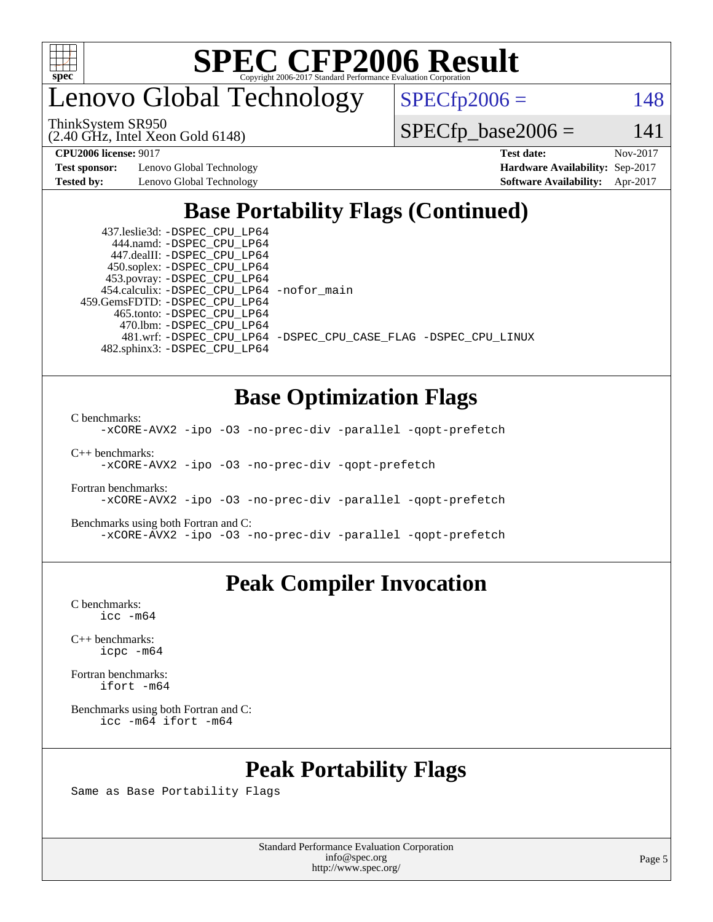

enovo Global Technology

 $SPECfp2006 = 148$  $SPECfp2006 = 148$ 

ThinkSystem SR950

(2.40 GHz, Intel Xeon Gold 6148)

**[Test sponsor:](http://www.spec.org/auto/cpu2006/Docs/result-fields.html#Testsponsor)** Lenovo Global Technology **[Hardware Availability:](http://www.spec.org/auto/cpu2006/Docs/result-fields.html#HardwareAvailability)** Sep-2017 **[Tested by:](http://www.spec.org/auto/cpu2006/Docs/result-fields.html#Testedby)** Lenovo Global Technology **[Software Availability:](http://www.spec.org/auto/cpu2006/Docs/result-fields.html#SoftwareAvailability)** Apr-2017

 $SPECfp\_base2006 = 141$ **[CPU2006 license:](http://www.spec.org/auto/cpu2006/Docs/result-fields.html#CPU2006license)** 9017 **[Test date:](http://www.spec.org/auto/cpu2006/Docs/result-fields.html#Testdate)** Nov-2017

### **[Base Portability Flags \(Continued\)](http://www.spec.org/auto/cpu2006/Docs/result-fields.html#BasePortabilityFlags)**

 437.leslie3d: [-DSPEC\\_CPU\\_LP64](http://www.spec.org/cpu2006/results/res2017q4/cpu2006-20171114-50723.flags.html#suite_basePORTABILITY437_leslie3d_DSPEC_CPU_LP64) 444.namd: [-DSPEC\\_CPU\\_LP64](http://www.spec.org/cpu2006/results/res2017q4/cpu2006-20171114-50723.flags.html#suite_basePORTABILITY444_namd_DSPEC_CPU_LP64) 447.dealII: [-DSPEC\\_CPU\\_LP64](http://www.spec.org/cpu2006/results/res2017q4/cpu2006-20171114-50723.flags.html#suite_basePORTABILITY447_dealII_DSPEC_CPU_LP64) 450.soplex: [-DSPEC\\_CPU\\_LP64](http://www.spec.org/cpu2006/results/res2017q4/cpu2006-20171114-50723.flags.html#suite_basePORTABILITY450_soplex_DSPEC_CPU_LP64) 453.povray: [-DSPEC\\_CPU\\_LP64](http://www.spec.org/cpu2006/results/res2017q4/cpu2006-20171114-50723.flags.html#suite_basePORTABILITY453_povray_DSPEC_CPU_LP64) 454.calculix: [-DSPEC\\_CPU\\_LP64](http://www.spec.org/cpu2006/results/res2017q4/cpu2006-20171114-50723.flags.html#suite_basePORTABILITY454_calculix_DSPEC_CPU_LP64) [-nofor\\_main](http://www.spec.org/cpu2006/results/res2017q4/cpu2006-20171114-50723.flags.html#user_baseLDPORTABILITY454_calculix_f-nofor_main) 459.GemsFDTD: [-DSPEC\\_CPU\\_LP64](http://www.spec.org/cpu2006/results/res2017q4/cpu2006-20171114-50723.flags.html#suite_basePORTABILITY459_GemsFDTD_DSPEC_CPU_LP64) 465.tonto: [-DSPEC\\_CPU\\_LP64](http://www.spec.org/cpu2006/results/res2017q4/cpu2006-20171114-50723.flags.html#suite_basePORTABILITY465_tonto_DSPEC_CPU_LP64) 470.lbm: [-DSPEC\\_CPU\\_LP64](http://www.spec.org/cpu2006/results/res2017q4/cpu2006-20171114-50723.flags.html#suite_basePORTABILITY470_lbm_DSPEC_CPU_LP64) 482.sphinx3: [-DSPEC\\_CPU\\_LP64](http://www.spec.org/cpu2006/results/res2017q4/cpu2006-20171114-50723.flags.html#suite_basePORTABILITY482_sphinx3_DSPEC_CPU_LP64)

481.wrf: [-DSPEC\\_CPU\\_LP64](http://www.spec.org/cpu2006/results/res2017q4/cpu2006-20171114-50723.flags.html#suite_basePORTABILITY481_wrf_DSPEC_CPU_LP64) [-DSPEC\\_CPU\\_CASE\\_FLAG](http://www.spec.org/cpu2006/results/res2017q4/cpu2006-20171114-50723.flags.html#b481.wrf_baseCPORTABILITY_DSPEC_CPU_CASE_FLAG) [-DSPEC\\_CPU\\_LINUX](http://www.spec.org/cpu2006/results/res2017q4/cpu2006-20171114-50723.flags.html#b481.wrf_baseCPORTABILITY_DSPEC_CPU_LINUX)

### **[Base Optimization Flags](http://www.spec.org/auto/cpu2006/Docs/result-fields.html#BaseOptimizationFlags)**

[C benchmarks](http://www.spec.org/auto/cpu2006/Docs/result-fields.html#Cbenchmarks):

[-xCORE-AVX2](http://www.spec.org/cpu2006/results/res2017q4/cpu2006-20171114-50723.flags.html#user_CCbase_f-xCORE-AVX2) [-ipo](http://www.spec.org/cpu2006/results/res2017q4/cpu2006-20171114-50723.flags.html#user_CCbase_f-ipo) [-O3](http://www.spec.org/cpu2006/results/res2017q4/cpu2006-20171114-50723.flags.html#user_CCbase_f-O3) [-no-prec-div](http://www.spec.org/cpu2006/results/res2017q4/cpu2006-20171114-50723.flags.html#user_CCbase_f-no-prec-div) [-parallel](http://www.spec.org/cpu2006/results/res2017q4/cpu2006-20171114-50723.flags.html#user_CCbase_f-parallel) [-qopt-prefetch](http://www.spec.org/cpu2006/results/res2017q4/cpu2006-20171114-50723.flags.html#user_CCbase_f-qopt-prefetch)

[C++ benchmarks:](http://www.spec.org/auto/cpu2006/Docs/result-fields.html#CXXbenchmarks)

[-xCORE-AVX2](http://www.spec.org/cpu2006/results/res2017q4/cpu2006-20171114-50723.flags.html#user_CXXbase_f-xCORE-AVX2) [-ipo](http://www.spec.org/cpu2006/results/res2017q4/cpu2006-20171114-50723.flags.html#user_CXXbase_f-ipo) [-O3](http://www.spec.org/cpu2006/results/res2017q4/cpu2006-20171114-50723.flags.html#user_CXXbase_f-O3) [-no-prec-div](http://www.spec.org/cpu2006/results/res2017q4/cpu2006-20171114-50723.flags.html#user_CXXbase_f-no-prec-div) [-qopt-prefetch](http://www.spec.org/cpu2006/results/res2017q4/cpu2006-20171114-50723.flags.html#user_CXXbase_f-qopt-prefetch)

[Fortran benchmarks](http://www.spec.org/auto/cpu2006/Docs/result-fields.html#Fortranbenchmarks): [-xCORE-AVX2](http://www.spec.org/cpu2006/results/res2017q4/cpu2006-20171114-50723.flags.html#user_FCbase_f-xCORE-AVX2) [-ipo](http://www.spec.org/cpu2006/results/res2017q4/cpu2006-20171114-50723.flags.html#user_FCbase_f-ipo) [-O3](http://www.spec.org/cpu2006/results/res2017q4/cpu2006-20171114-50723.flags.html#user_FCbase_f-O3) [-no-prec-div](http://www.spec.org/cpu2006/results/res2017q4/cpu2006-20171114-50723.flags.html#user_FCbase_f-no-prec-div) [-parallel](http://www.spec.org/cpu2006/results/res2017q4/cpu2006-20171114-50723.flags.html#user_FCbase_f-parallel) [-qopt-prefetch](http://www.spec.org/cpu2006/results/res2017q4/cpu2006-20171114-50723.flags.html#user_FCbase_f-qopt-prefetch)

[Benchmarks using both Fortran and C](http://www.spec.org/auto/cpu2006/Docs/result-fields.html#BenchmarksusingbothFortranandC): [-xCORE-AVX2](http://www.spec.org/cpu2006/results/res2017q4/cpu2006-20171114-50723.flags.html#user_CC_FCbase_f-xCORE-AVX2) [-ipo](http://www.spec.org/cpu2006/results/res2017q4/cpu2006-20171114-50723.flags.html#user_CC_FCbase_f-ipo) [-O3](http://www.spec.org/cpu2006/results/res2017q4/cpu2006-20171114-50723.flags.html#user_CC_FCbase_f-O3) [-no-prec-div](http://www.spec.org/cpu2006/results/res2017q4/cpu2006-20171114-50723.flags.html#user_CC_FCbase_f-no-prec-div) [-parallel](http://www.spec.org/cpu2006/results/res2017q4/cpu2006-20171114-50723.flags.html#user_CC_FCbase_f-parallel) [-qopt-prefetch](http://www.spec.org/cpu2006/results/res2017q4/cpu2006-20171114-50723.flags.html#user_CC_FCbase_f-qopt-prefetch)

#### **[Peak Compiler Invocation](http://www.spec.org/auto/cpu2006/Docs/result-fields.html#PeakCompilerInvocation)**

[C benchmarks](http://www.spec.org/auto/cpu2006/Docs/result-fields.html#Cbenchmarks): [icc -m64](http://www.spec.org/cpu2006/results/res2017q4/cpu2006-20171114-50723.flags.html#user_CCpeak_intel_icc_64bit_bda6cc9af1fdbb0edc3795bac97ada53)

[C++ benchmarks:](http://www.spec.org/auto/cpu2006/Docs/result-fields.html#CXXbenchmarks) [icpc -m64](http://www.spec.org/cpu2006/results/res2017q4/cpu2006-20171114-50723.flags.html#user_CXXpeak_intel_icpc_64bit_fc66a5337ce925472a5c54ad6a0de310)

[Fortran benchmarks](http://www.spec.org/auto/cpu2006/Docs/result-fields.html#Fortranbenchmarks): [ifort -m64](http://www.spec.org/cpu2006/results/res2017q4/cpu2006-20171114-50723.flags.html#user_FCpeak_intel_ifort_64bit_ee9d0fb25645d0210d97eb0527dcc06e)

[Benchmarks using both Fortran and C](http://www.spec.org/auto/cpu2006/Docs/result-fields.html#BenchmarksusingbothFortranandC): [icc -m64](http://www.spec.org/cpu2006/results/res2017q4/cpu2006-20171114-50723.flags.html#user_CC_FCpeak_intel_icc_64bit_bda6cc9af1fdbb0edc3795bac97ada53) [ifort -m64](http://www.spec.org/cpu2006/results/res2017q4/cpu2006-20171114-50723.flags.html#user_CC_FCpeak_intel_ifort_64bit_ee9d0fb25645d0210d97eb0527dcc06e)

#### **[Peak Portability Flags](http://www.spec.org/auto/cpu2006/Docs/result-fields.html#PeakPortabilityFlags)**

Same as Base Portability Flags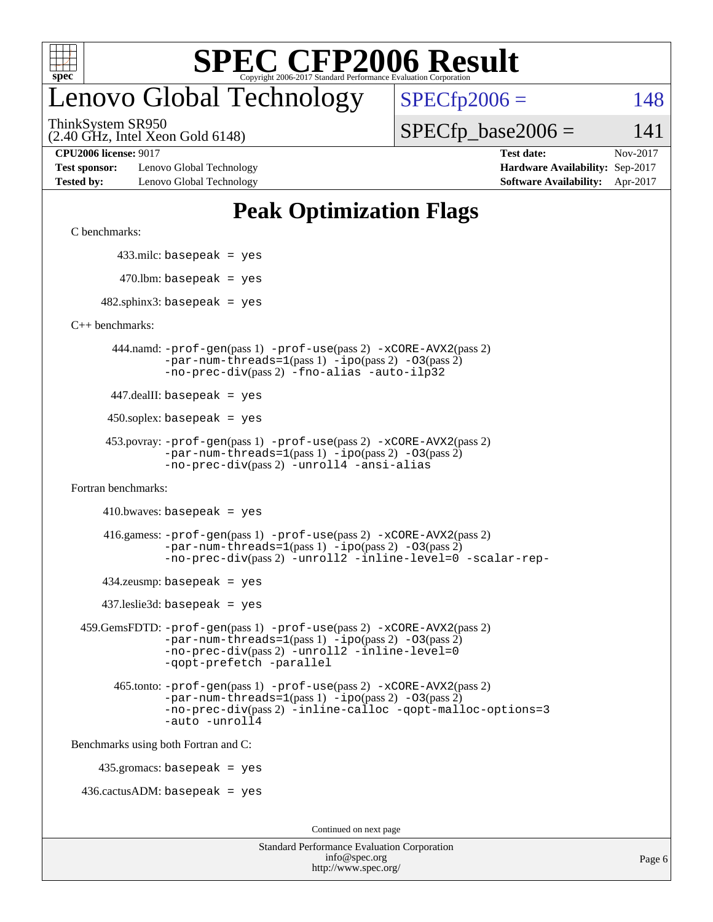

## enovo Global Technology

ThinkSystem SR950

(2.40 GHz, Intel Xeon Gold 6148)

 $SPECTp2006 = 148$  $SPECTp\_base2006 = 141$ 

**[Test sponsor:](http://www.spec.org/auto/cpu2006/Docs/result-fields.html#Testsponsor)** Lenovo Global Technology **[Hardware Availability:](http://www.spec.org/auto/cpu2006/Docs/result-fields.html#HardwareAvailability)** Sep-2017 **[Tested by:](http://www.spec.org/auto/cpu2006/Docs/result-fields.html#Testedby)** Lenovo Global Technology **[Software Availability:](http://www.spec.org/auto/cpu2006/Docs/result-fields.html#SoftwareAvailability)** Apr-2017

**[CPU2006 license:](http://www.spec.org/auto/cpu2006/Docs/result-fields.html#CPU2006license)** 9017 **[Test date:](http://www.spec.org/auto/cpu2006/Docs/result-fields.html#Testdate)** Nov-2017

### **[Peak Optimization Flags](http://www.spec.org/auto/cpu2006/Docs/result-fields.html#PeakOptimizationFlags)**

[C benchmarks](http://www.spec.org/auto/cpu2006/Docs/result-fields.html#Cbenchmarks):

433.milc: basepeak = yes

 $470.$ lbm: basepeak = yes

 $482$ .sphinx3: basepeak = yes

[C++ benchmarks:](http://www.spec.org/auto/cpu2006/Docs/result-fields.html#CXXbenchmarks)

 444.namd: [-prof-gen](http://www.spec.org/cpu2006/results/res2017q4/cpu2006-20171114-50723.flags.html#user_peakPASS1_CXXFLAGSPASS1_LDFLAGS444_namd_prof_gen_e43856698f6ca7b7e442dfd80e94a8fc)(pass 1) [-prof-use](http://www.spec.org/cpu2006/results/res2017q4/cpu2006-20171114-50723.flags.html#user_peakPASS2_CXXFLAGSPASS2_LDFLAGS444_namd_prof_use_bccf7792157ff70d64e32fe3e1250b55)(pass 2) [-xCORE-AVX2](http://www.spec.org/cpu2006/results/res2017q4/cpu2006-20171114-50723.flags.html#user_peakPASS2_CXXFLAGSPASS2_LDFLAGS444_namd_f-xCORE-AVX2)(pass 2)  $-par-num-threads=1(pass 1) -ipo(pass 2) -O3(pass 2)$  $-par-num-threads=1(pass 1) -ipo(pass 2) -O3(pass 2)$  $-par-num-threads=1(pass 1) -ipo(pass 2) -O3(pass 2)$  $-par-num-threads=1(pass 1) -ipo(pass 2) -O3(pass 2)$  $-par-num-threads=1(pass 1) -ipo(pass 2) -O3(pass 2)$  $-par-num-threads=1(pass 1) -ipo(pass 2) -O3(pass 2)$ [-no-prec-div](http://www.spec.org/cpu2006/results/res2017q4/cpu2006-20171114-50723.flags.html#user_peakPASS2_CXXFLAGSPASS2_LDFLAGS444_namd_f-no-prec-div)(pass 2) [-fno-alias](http://www.spec.org/cpu2006/results/res2017q4/cpu2006-20171114-50723.flags.html#user_peakCXXOPTIMIZEOPTIMIZE444_namd_f-no-alias_694e77f6c5a51e658e82ccff53a9e63a) [-auto-ilp32](http://www.spec.org/cpu2006/results/res2017q4/cpu2006-20171114-50723.flags.html#user_peakCXXOPTIMIZE444_namd_f-auto-ilp32)

447.dealII: basepeak = yes

 $450$ .soplex: basepeak = yes

```
 453.povray: -prof-gen(pass 1) -prof-use(pass 2) -xCORE-AVX2(pass 2)
  -par-num-threads=1-ipo-O3(pass 2)-no-prec-div(pass 2) -unroll4 -ansi-alias
```
[Fortran benchmarks](http://www.spec.org/auto/cpu2006/Docs/result-fields.html#Fortranbenchmarks):

```
410.bwaves: basepeak = yes
```

```
 416.gamess: -prof-gen(pass 1) -prof-use(pass 2) -xCORE-AVX2(pass 2)
  -par-num-threads=1-ipo-O3(pass 2)-no-prec-div(pass 2) -unroll2 -inline-level=0 -scalar-rep-
```
 $434$ .zeusmp: basepeak = yes

437.leslie3d: basepeak = yes

```
 459.GemsFDTD: -prof-gen(pass 1) -prof-use(pass 2) -xCORE-AVX2(pass 2)
     -par-num-threads=1-ipo-O3(pass 2)-no-prec-div(pass 2) -unroll2 -inline-level=0
     -qopt-prefetch -parallel
```

```
 465.tonto: -prof-gen(pass 1) -prof-use(pass 2) -xCORE-AVX2(pass 2)
-par-num-threads=1-ipo-O3(pass 2)-no-prec-div-inline-calloc-qopt-malloc-options=3
-auto -unroll4
```
[Benchmarks using both Fortran and C](http://www.spec.org/auto/cpu2006/Docs/result-fields.html#BenchmarksusingbothFortranandC):

435.gromacs: basepeak = yes

 $436.cactusADM: basepeak = yes$ 

Continued on next page

| <b>Standard Performance Evaluation Corporation</b> |
|----------------------------------------------------|
| info@spec.org                                      |
| http://www.spec.org/                               |